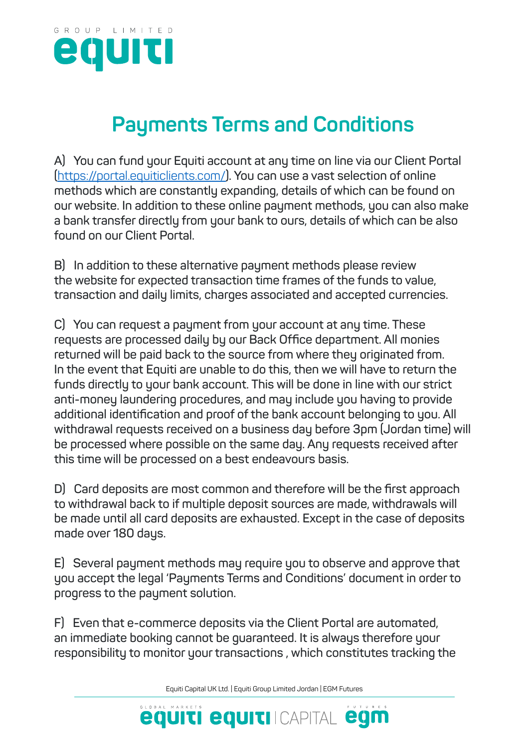

## **Payments Terms and Conditions**

**A) You can fund your Equiti account at any time on line via our Client Portal (**https://portal.equiticlients.com/**). You can use a vast selection of online methods which are constantly expanding, details of which can be found on our website. In addition to these online payment methods, you can also make a bank transfer directly from your bank to ours, details of which can be also found on our Client Portal.** 

**B) In addition to these alternative payment methods please review the website for expected transaction time frames of the funds to value, transaction and daily limits, charges associated and accepted currencies.**

**C) You can request a payment from your account at any time. These requests are processed daily by our Back Office department. All monies returned will be paid back to the source from where they originated from. In the event that Equiti are unable to do this, then we will have to return the funds directly to your bank account. This will be done in line with our strict anti-money laundering procedures, and may include you having to provide additional identification and proof of the bank account belonging to you. All withdrawal requests received on a business day before 3pm (Jordan time) will be processed where possible on the same day. Any requests received after this time will be processed on a best endeavours basis.**

**D) Card deposits are most common and therefore will be the first approach to withdrawal back to if multiple deposit sources are made, withdrawals will be made until all card deposits are exhausted. Except in the case of deposits made over 180 days.**

**E) Several payment methods may require you to observe and approve that you accept the legal 'Payments Terms and Conditions' document in order to progress to the payment solution.**

**F) Even that e-commerce deposits via the Client Portal are automated, an immediate booking cannot be guaranteed. It is always therefore your responsibility to monitor your transactions , which constitutes tracking the**

Equiti Capital UK Ltd. | Equiti Group Limited Jordan | EGM Futures

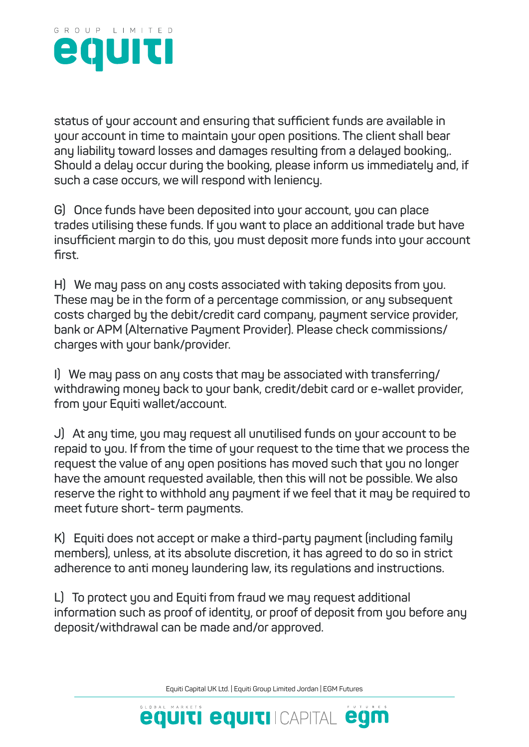

**status of your account and ensuring that sufficient funds are available in your account in time to maintain your open positions. The client shall bear any liability toward losses and damages resulting from a delayed booking,. Should a delay occur during the booking, please inform us immediately and, if such a case occurs, we will respond with leniency.**

**G) Once funds have been deposited into your account, you can place trades utilising these funds. If you want to place an additional trade but have insufficient margin to do this, you must deposit more funds into your account first.** 

**H) We may pass on any costs associated with taking deposits from you. These may be in the form of a percentage commission, or any subsequent costs charged by the debit/credit card company, payment service provider, bank or APM (Alternative Payment Provider). Please check commissions/ charges with your bank/provider.** 

**I) We may pass on any costs that may be associated with transferring/ withdrawing money back to your bank, credit/debit card or e-wallet provider, from your Equiti wallet/account.** 

**J) At any time, you may request all unutilised funds on your account to be repaid to you. If from the time of your request to the time that we process the request the value of any open positions has moved such that you no longer have the amount requested available, then this will not be possible. We also reserve the right to withhold any payment if we feel that it may be required to meet future short- term payments.** 

**K) Equiti does not accept or make a third-party payment (including family members), unless, at its absolute discretion, it has agreed to do so in strict adherence to anti money laundering law, its regulations and instructions.** 

**L) To protect you and Equiti from fraud we may request additional information such as proof of identity, or proof of deposit from you before any deposit/withdrawal can be made and/or approved.**

Equiti Capital UK Ltd. | Equiti Group Limited Jordan | EGM Futures